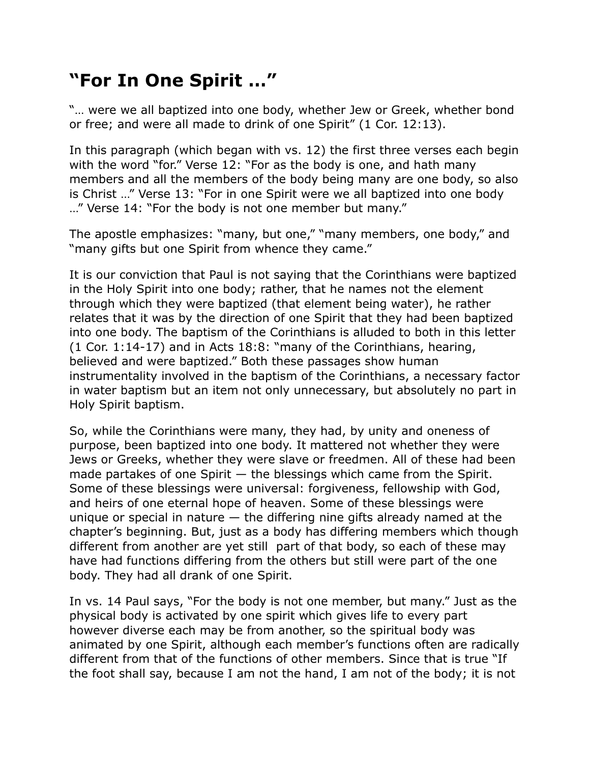## **"For In One Spirit …"**

"… were we all baptized into one body, whether Jew or Greek, whether bond or free; and were all made to drink of one Spirit" (1 Cor. 12:13).

In this paragraph (which began with vs. 12) the first three verses each begin with the word "for." Verse 12: "For as the body is one, and hath many members and all the members of the body being many are one body, so also is Christ …" Verse 13: "For in one Spirit were we all baptized into one body …" Verse 14: "For the body is not one member but many."

The apostle emphasizes: "many, but one," "many members, one body," and "many gifts but one Spirit from whence they came."

It is our conviction that Paul is not saying that the Corinthians were baptized in the Holy Spirit into one body; rather, that he names not the element through which they were baptized (that element being water), he rather relates that it was by the direction of one Spirit that they had been baptized into one body. The baptism of the Corinthians is alluded to both in this letter (1 Cor. 1:14-17) and in Acts 18:8: "many of the Corinthians, hearing, believed and were baptized." Both these passages show human instrumentality involved in the baptism of the Corinthians, a necessary factor in water baptism but an item not only unnecessary, but absolutely no part in Holy Spirit baptism.

So, while the Corinthians were many, they had, by unity and oneness of purpose, been baptized into one body. It mattered not whether they were Jews or Greeks, whether they were slave or freedmen. All of these had been made partakes of one Spirit — the blessings which came from the Spirit. Some of these blessings were universal: forgiveness, fellowship with God, and heirs of one eternal hope of heaven. Some of these blessings were unique or special in nature  $-$  the differing nine gifts already named at the chapter's beginning. But, just as a body has differing members which though different from another are yet still part of that body, so each of these may have had functions differing from the others but still were part of the one body. They had all drank of one Spirit.

In vs. 14 Paul says, "For the body is not one member, but many." Just as the physical body is activated by one spirit which gives life to every part however diverse each may be from another, so the spiritual body was animated by one Spirit, although each member's functions often are radically different from that of the functions of other members. Since that is true "If the foot shall say, because I am not the hand, I am not of the body; it is not